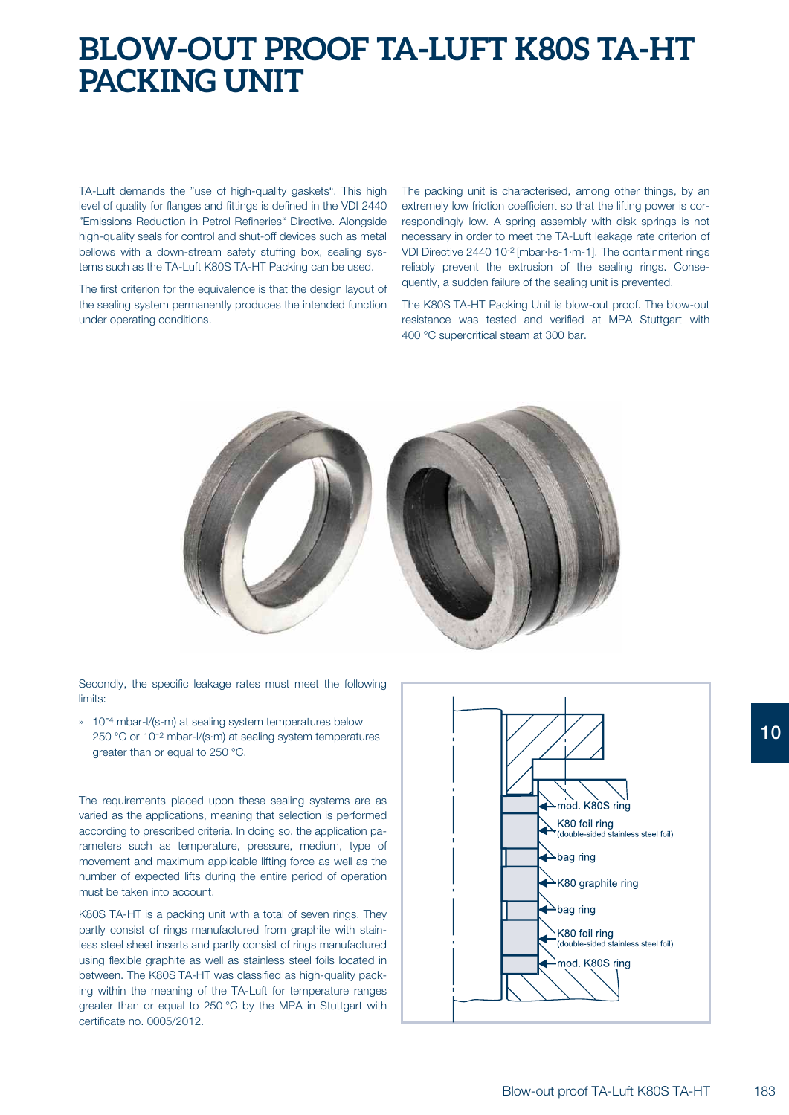## **BLOW-OUT PROOF TA-LUFT K80S TA-HT PACKING UNIT**

TA-Luft demands the "use of high-quality gaskets". This high level of quality for flanges and fittings is defined in the VDI 2440 "Emissions Reduction in Petrol Refineries" Directive. Alongside high-quality seals for control and shut-off devices such as metal bellows with a down-stream safety stuffing box, sealing systems such as the TA-Luft K80S TA-HT Packing can be used.

The first criterion for the equivalence is that the design layout of the sealing system permanently produces the intended function under operating conditions.

The packing unit is characterised, among other things, by an extremely low friction coefficient so that the lifting power is correspondingly low. A spring assembly with disk springs is not necessary in order to meet the TA-Luft leakage rate criterion of VDI Directive 2440 10-2 [mbar·l·s-1·m-1]. The containment rings reliably prevent the extrusion of the sealing rings. Consequently, a sudden failure of the sealing unit is prevented.

The K80S TA-HT Packing Unit is blow-out proof. The blow-out resistance was tested and verified at MPA Stuttgart with 400 °C supercritical steam at 300 bar.



Secondly, the specific leakage rates must meet the following limits:

» 10<sup>-4</sup> mbar-l/(s-m) at sealing system temperatures below 250 °C or 10<sup>-2</sup> mbar-l/(s·m) at sealing system temperatures greater than or equal to 250 °C.

The requirements placed upon these sealing systems are as varied as the applications, meaning that selection is performed according to prescribed criteria. In doing so, the application parameters such as temperature, pressure, medium, type of movement and maximum applicable lifting force as well as the number of expected lifts during the entire period of operation must be taken into account.

K80S TA-HT is a packing unit with a total of seven rings. They partly consist of rings manufactured from graphite with stainless steel sheet inserts and partly consist of rings manufactured using flexible graphite as well as stainless steel foils located in between. The K80S TA-HT was classified as high-quality packing within the meaning of the TA-Luft for temperature ranges greater than or equal to 250 °C by the MPA in Stuttgart with certificate no. 0005/2012.